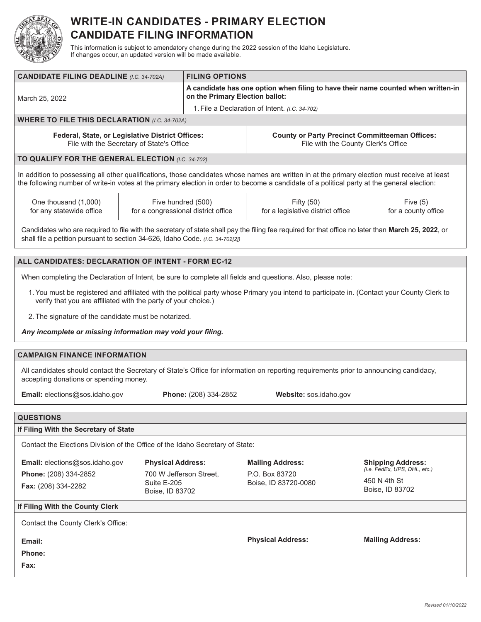

## **WRITE-IN CANDIDATES - PRIMARY ELECTION CANDIDATE FILING INFORMATION**

This information is subject to amendatory change during the 2022 session of the Idaho Legislature. If changes occur, an updated version will be made available.

| <b>CANDIDATE FILING DEADLINE (I.C. 34-702A)</b>                                                                                                                                                                                                                                              |                                | <b>FILING OPTIONS</b>                                                                                                |                                                 |                                   |  |  |  |  |  |
|----------------------------------------------------------------------------------------------------------------------------------------------------------------------------------------------------------------------------------------------------------------------------------------------|--------------------------------|----------------------------------------------------------------------------------------------------------------------|-------------------------------------------------|-----------------------------------|--|--|--|--|--|
| March 25, 2022                                                                                                                                                                                                                                                                               |                                | A candidate has one option when filing to have their name counted when written-in<br>on the Primary Election ballot: |                                                 |                                   |  |  |  |  |  |
|                                                                                                                                                                                                                                                                                              |                                | 1. File a Declaration of Intent. (I.C. 34-702)                                                                       |                                                 |                                   |  |  |  |  |  |
| <b>WHERE TO FILE THIS DECLARATION (I.C. 34-702A)</b>                                                                                                                                                                                                                                         |                                |                                                                                                                      |                                                 |                                   |  |  |  |  |  |
| Federal, State, or Legislative District Offices:<br>File with the Secretary of State's Office                                                                                                                                                                                                |                                | <b>County or Party Precinct Committeeman Offices:</b><br>File with the County Clerk's Office                         |                                                 |                                   |  |  |  |  |  |
| TO QUALIFY FOR THE GENERAL ELECTION (I.C. 34-702)                                                                                                                                                                                                                                            |                                |                                                                                                                      |                                                 |                                   |  |  |  |  |  |
| In addition to possessing all other qualifications, those candidates whose names are written in at the primary election must receive at least<br>the following number of write-in votes at the primary election in order to become a candidate of a political party at the general election: |                                |                                                                                                                      |                                                 |                                   |  |  |  |  |  |
| One thousand (1,000)<br>for any statewide office                                                                                                                                                                                                                                             | Five hundred (500)             | for a congressional district office                                                                                  | Fifty (50)<br>for a legislative district office | Five $(5)$<br>for a county office |  |  |  |  |  |
| Candidates who are required to file with the secretary of state shall pay the filing fee required for that office no later than March 25, 2022, or<br>shall file a petition pursuant to section 34-626, Idaho Code. (I.C. 34-702[2])                                                         |                                |                                                                                                                      |                                                 |                                   |  |  |  |  |  |
|                                                                                                                                                                                                                                                                                              |                                |                                                                                                                      |                                                 |                                   |  |  |  |  |  |
| ALL CANDIDATES: DECLARATION OF INTENT - FORM EC-12                                                                                                                                                                                                                                           |                                |                                                                                                                      |                                                 |                                   |  |  |  |  |  |
| When completing the Declaration of Intent, be sure to complete all fields and questions. Also, please note:                                                                                                                                                                                  |                                |                                                                                                                      |                                                 |                                   |  |  |  |  |  |
| 1. You must be registered and affiliated with the political party whose Primary you intend to participate in. (Contact your County Clerk to<br>verify that you are affiliated with the party of your choice.)                                                                                |                                |                                                                                                                      |                                                 |                                   |  |  |  |  |  |
| 2. The signature of the candidate must be notarized.                                                                                                                                                                                                                                         |                                |                                                                                                                      |                                                 |                                   |  |  |  |  |  |
| Any incomplete or missing information may void your filing.                                                                                                                                                                                                                                  |                                |                                                                                                                      |                                                 |                                   |  |  |  |  |  |
| <b>CAMPAIGN FINANCE INFORMATION</b>                                                                                                                                                                                                                                                          |                                |                                                                                                                      |                                                 |                                   |  |  |  |  |  |
| All candidates should contact the Secretary of State's Office for information on reporting requirements prior to announcing candidacy,<br>accepting donations or spending money.                                                                                                             |                                |                                                                                                                      |                                                 |                                   |  |  |  |  |  |
| Email: elections@sos.idaho.gov<br>Website: sos.idaho.gov<br>Phone: (208) 334-2852                                                                                                                                                                                                            |                                |                                                                                                                      |                                                 |                                   |  |  |  |  |  |
| <b>QUESTIONS</b>                                                                                                                                                                                                                                                                             |                                |                                                                                                                      |                                                 |                                   |  |  |  |  |  |
| If Filing With the Secretary of State                                                                                                                                                                                                                                                        |                                |                                                                                                                      |                                                 |                                   |  |  |  |  |  |
| Contact the Elections Division of the Office of the Idaho Secretary of State:                                                                                                                                                                                                                |                                |                                                                                                                      |                                                 |                                   |  |  |  |  |  |
| Email: elections@sos.idaho.gov                                                                                                                                                                                                                                                               | <b>Physical Address:</b>       |                                                                                                                      | <b>Mailing Address:</b>                         | <b>Shipping Address:</b>          |  |  |  |  |  |
| Phone: (208) 334-2852                                                                                                                                                                                                                                                                        | 700 W Jefferson Street,        |                                                                                                                      | P.O. Box 83720                                  | (i.e. FedEx, UPS, DHL, etc.)      |  |  |  |  |  |
| Fax: (208) 334-2282                                                                                                                                                                                                                                                                          | Suite E-205<br>Boise, ID 83702 |                                                                                                                      | Boise, ID 83720-0080                            | 450 N 4th St<br>Boise, ID 83702   |  |  |  |  |  |
| If Filing With the County Clerk                                                                                                                                                                                                                                                              |                                |                                                                                                                      |                                                 |                                   |  |  |  |  |  |
| Contact the County Clerk's Office:                                                                                                                                                                                                                                                           |                                |                                                                                                                      |                                                 |                                   |  |  |  |  |  |
| Email:                                                                                                                                                                                                                                                                                       |                                |                                                                                                                      | <b>Physical Address:</b>                        | <b>Mailing Address:</b>           |  |  |  |  |  |
| Phone:                                                                                                                                                                                                                                                                                       |                                |                                                                                                                      |                                                 |                                   |  |  |  |  |  |
| Fax:                                                                                                                                                                                                                                                                                         |                                |                                                                                                                      |                                                 |                                   |  |  |  |  |  |
|                                                                                                                                                                                                                                                                                              |                                |                                                                                                                      |                                                 |                                   |  |  |  |  |  |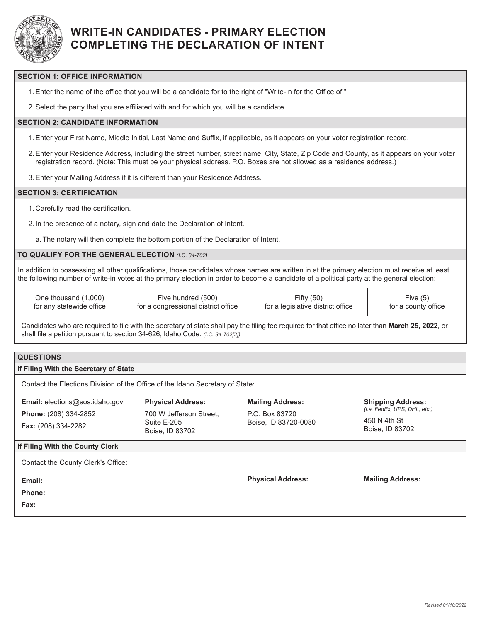

## **WRITE-IN CANDIDATES - PRIMARY ELECTION COMPLETING THE DECLARATION OF INTENT**

### **SECTION 1: OFFICE INFORMATION**

1.Enter the name of the office that you will be a candidate for to the right of "Write-In for the Office of."

2.Select the party that you are affiliated with and for which you will be a candidate.

### **SECTION 2: CANDIDATE INFORMATION**

- 1.Enter your First Name, Middle Initial, Last Name and Suffix, if applicable, as it appears on your voter registration record.
- 2.Enter your Residence Address, including the street number, street name, City, State, Zip Code and County, as it appears on your voter registration record. (Note: This must be your physical address. P.O. Boxes are not allowed as a residence address.)
- 3.Enter your Mailing Address if it is different than your Residence Address.

#### **SECTION 3: CERTIFICATION**

1. Carefully read the certification.

2. In the presence of a notary, sign and date the Declaration of Intent.

a. The notary will then complete the bottom portion of the Declaration of Intent.

### **TO QUALIFY FOR THE GENERAL ELECTION** *(I.C. 34-702)*

In addition to possessing all other qualifications, those candidates whose names are written in at the primary election must receive at least the following number of write-in votes at the primary election in order to become a candidate of a political party at the general election:

One thousand (1,000) for any statewide office

Five hundred (500) for a congressional district office

Fifty (50) for a legislative district office

Five (5) for a county office

Candidates who are required to file with the secretary of state shall pay the filing fee required for that office no later than **March 25, 2022**, or shall file a petition pursuant to section 34-626, Idaho Code. *(I.C. 34-702[2])*

## **QUESTIONS**

#### **If Filing With the Secretary of State**

Contact the Elections Division of the Office of the Idaho Secretary of State:

**Email:** elections@sos.idaho.gov **Phone:** (208) 334-2852 **Fax:** (208) 334-2282

**Physical Address:** 700 W Jefferson Street, Suite E-205 Boise, ID 83702

**Mailing Address:** P.O. Box 83720 Boise, ID 83720-0080 **Shipping Address:** *(i.e. FedEx, UPS, DHL, etc.)* 

450 N 4th St Boise, ID 83702

#### **If Filing With the County Clerk**

| Contact the County Clerk's Office: |                          |                         |
|------------------------------------|--------------------------|-------------------------|
| Email:<br>Phone:<br>Fax:           | <b>Physical Address:</b> | <b>Mailing Address:</b> |